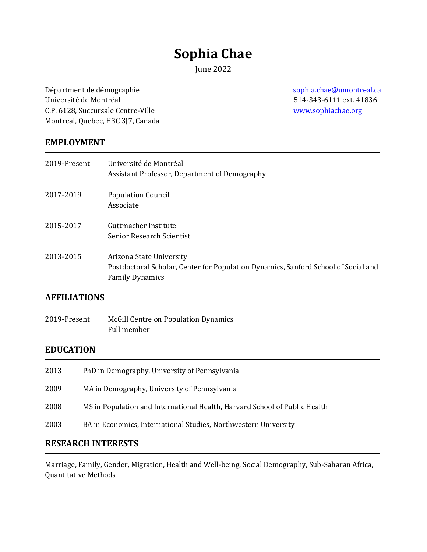# **Sophia Chae**

June 2022

Départment de démographie [sophia.chae@umontreal.ca](/Users/sophia/Dropbox/Work/Administrative/CV/2021/Sophia.Chae@umontreal.ca) Université de Montréal 514-343-6111 ext. 41836 C.P. 6128, Succursale Centre-Ville and the control of the control of the [www.sophiachae.org](http://www.sophiachae.org/) Montreal, Quebec, H3C 3J7, Canada

#### **EMPLOYMENT**

| 2019-Present | Université de Montréal<br>Assistant Professor, Department of Demography                                                                  |
|--------------|------------------------------------------------------------------------------------------------------------------------------------------|
| 2017-2019    | <b>Population Council</b><br>Associate                                                                                                   |
| 2015-2017    | Guttmacher Institute<br><b>Senior Research Scientist</b>                                                                                 |
| 2013-2015    | Arizona State University<br>Postdoctoral Scholar, Center for Population Dynamics, Sanford School of Social and<br><b>Family Dynamics</b> |

#### **AFFILIATIONS**

2019-Present McGill Centre on Population Dynamics Full member

## **EDUCATION**

| 2013 | PhD in Demography, University of Pennsylvania                              |
|------|----------------------------------------------------------------------------|
| 2009 | MA in Demography, University of Pennsylvania                               |
| 2008 | MS in Population and International Health, Harvard School of Public Health |
| 2003 | BA in Economics, International Studies, Northwestern University            |

#### **RESEARCH INTERESTS**

Marriage, Family, Gender, Migration, Health and Well-being, Social Demography, Sub-Saharan Africa, Quantitative Methods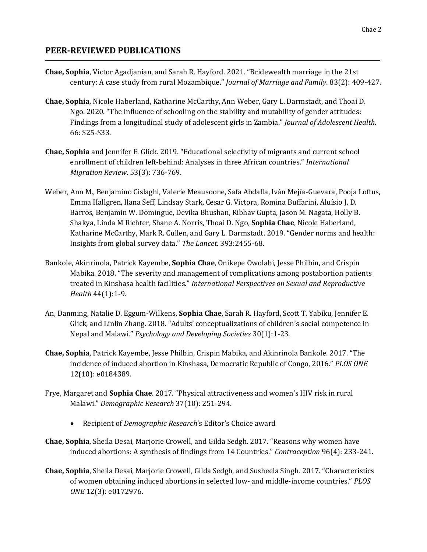### **PEER-REVIEWED PUBLICATIONS**

- **Chae, Sophia**, Victor Agadjanian, and Sarah R. Hayford. 2021. "Bridewealth marriage in the 21st century: A case study from rural Mozambique." *Journal of Marriage and Family*. 83(2): 409-427.
- **Chae, Sophia**, Nicole Haberland, Katharine McCarthy, Ann Weber, Gary L. Darmstadt, and Thoai D. Ngo. 2020. "The influence of schooling on the stability and mutability of gender attitudes: Findings from a longitudinal study of adolescent girls in Zambia." *Journal of Adolescent Health*. 66: S25-S33.
- **Chae, Sophia** and Jennifer E. Glick. 2019. "Educational selectivity of migrants and current school enrollment of children left-behind: Analyses in three African countries." *International Migration Review*. 53(3): 736-769.
- Weber, Ann M., Benjamino Cislaghi, Valerie Meausoone, Safa Abdalla, Iván Mejía-Guevara, Pooja Loftus, Emma Hallgren, Ilana Seff, Lindsay Stark, Cesar G. Victora, Romina Buffarini, Aluísio J. D. Barros, Benjamin W. Domingue, Devika Bhushan, Ribhav Gupta, Jason M. Nagata, Holly B. Shakya, Linda M Richter, Shane A. Norris, Thoai D. Ngo, **Sophia Chae**, Nicole Haberland, Katharine McCarthy, Mark R. Cullen, and Gary L. Darmstadt. 2019. "Gender norms and health: Insights from global survey data." *The Lancet*. 393:2455-68.
- Bankole, Akinrinola, Patrick Kayembe, **Sophia Chae**, Onikepe Owolabi, Jesse Philbin, and Crispin Mabika. 2018. "The severity and management of complications among postabortion patients treated in Kinshasa health facilities." *International Perspectives on Sexual and Reproductive Health* 44(1):1-9.
- An, Danming, Natalie D. Eggum-Wilkens, **Sophia Chae**, Sarah R. Hayford, Scott T. Yabiku, Jennifer E. Glick, and Linlin Zhang. 2018. "Adults' conceptualizations of children's social competence in Nepal and Malawi." *Psychology and Developing Societies* 30(1):1-23.
- **Chae, Sophia**, Patrick Kayembe, Jesse Philbin, Crispin Mabika, and Akinrinola Bankole. 2017. "The incidence of induced abortion in Kinshasa, Democratic Republic of Congo, 2016." *PLOS ONE* 12(10): e0184389.
- Frye, Margaret and **Sophia Chae**. 2017. "Physical attractiveness and women's HIV risk in rural Malawi." *Demographic Research* 37(10): 251-294.
	- Recipient of *Demographic Research*'s Editor's Choice award
- **Chae, Sophia**, Sheila Desai, Marjorie Crowell, and Gilda Sedgh. 2017. "Reasons why women have induced abortions: A synthesis of findings from 14 Countries." *Contraception* 96(4): 233-241.
- **Chae, Sophia**, Sheila Desai, Marjorie Crowell, Gilda Sedgh, and Susheela Singh. 2017. "Characteristics of women obtaining induced abortions in selected low- and middle-income countries." *PLOS ONE* 12(3): e0172976.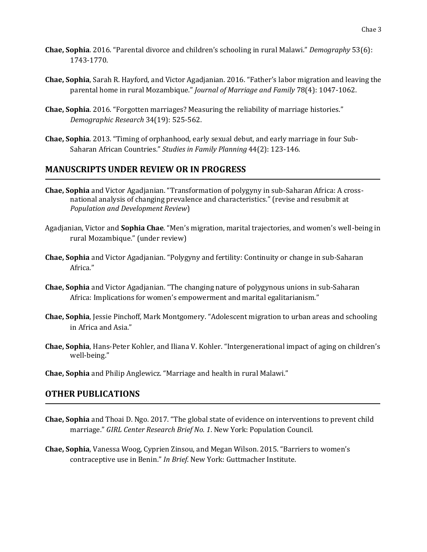- **Chae, Sophia**. 2016. "Parental divorce and children's schooling in rural Malawi." *Demography* 53(6): 1743-1770.
- **Chae, Sophia**, Sarah R. Hayford, and Victor Agadjanian. 2016. "Father's labor migration and leaving the parental home in rural Mozambique." *Journal of Marriage and Family* 78(4): 1047-1062.
- **Chae, Sophia**. 2016. "Forgotten marriages? Measuring the reliability of marriage histories." *Demographic Research* 34(19): 525-562.
- **Chae, Sophia**. 2013. "Timing of orphanhood, early sexual debut, and early marriage in four Sub-Saharan African Countries." *Studies in Family Planning* 44(2): 123-146*.*

## **MANUSCRIPTS UNDER REVIEW OR IN PROGRESS**

- **Chae, Sophia** and Victor Agadjanian. "Transformation of polygyny in sub-Saharan Africa: A crossnational analysis of changing prevalence and characteristics." (revise and resubmit at *Population and Development Review*)
- Agadjanian, Victor and **Sophia Chae**. "Men's migration, marital trajectories, and women's well-being in rural Mozambique." (under review)
- **Chae, Sophia** and Victor Agadjanian. "Polygyny and fertility: Continuity or change in sub-Saharan Africa."
- **Chae, Sophia** and Victor Agadjanian. "The changing nature of polygynous unions in sub-Saharan Africa: Implications for women's empowerment and marital egalitarianism."
- **Chae, Sophia**, Jessie Pinchoff, Mark Montgomery. "Adolescent migration to urban areas and schooling in Africa and Asia."
- **Chae, Sophia**, Hans-Peter Kohler, and Iliana V. Kohler. "Intergenerational impact of aging on children's well-being."
- **Chae, Sophia** and Philip Anglewicz. "Marriage and health in rural Malawi."

#### **OTHER PUBLICATIONS**

- **Chae, Sophia** and Thoai D. Ngo. 2017. "The global state of evidence on interventions to prevent child marriage." *GIRL Center Research Brief No. 1*. New York: Population Council.
- **Chae, Sophia**, Vanessa Woog, Cyprien Zinsou, and Megan Wilson. 2015. "Barriers to women's contraceptive use in Benin." *In Brief*. New York: Guttmacher Institute.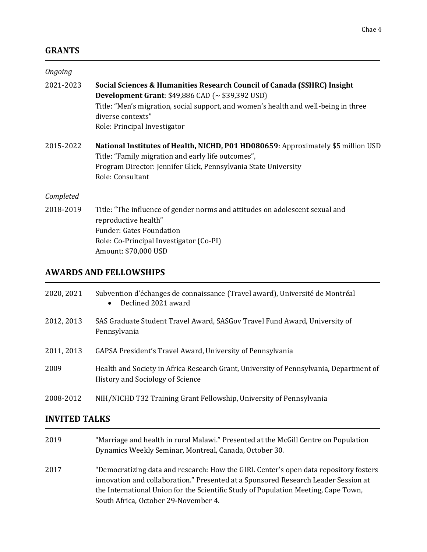## **GRANTS**

| Ongoing   |                                                                                                                                                                                                                                                                               |
|-----------|-------------------------------------------------------------------------------------------------------------------------------------------------------------------------------------------------------------------------------------------------------------------------------|
| 2021-2023 | Social Sciences & Humanities Research Council of Canada (SSHRC) Insight<br>Development Grant: $$49,886$ CAD ( $\sim $39,392$ USD)<br>Title: "Men's migration, social support, and women's health and well-being in three<br>diverse contexts"<br>Role: Principal Investigator |
| 2015-2022 | National Institutes of Health, NICHD, P01 HD080659: Approximately \$5 million USD<br>Title: "Family migration and early life outcomes",<br>Program Director: Jennifer Glick, Pennsylvania State University<br>Role: Consultant                                                |
| Completed |                                                                                                                                                                                                                                                                               |
| 2018-2019 | Title: "The influence of gender norms and attitudes on adolescent sexual and<br>reproductive health"<br><b>Funder: Gates Foundation</b><br>Role: Co-Principal Investigator (Co-PI)<br>Amount: \$70,000 USD                                                                    |

## **AWARDS AND FELLOWSHIPS**

| 2020, 2021 | Subvention d'échanges de connaissance (Travel award), Université de Montréal<br>Declined 2021 award<br>$\bullet$           |
|------------|----------------------------------------------------------------------------------------------------------------------------|
| 2012, 2013 | SAS Graduate Student Travel Award, SASGov Travel Fund Award, University of<br>Pennsylvania                                 |
| 2011, 2013 | GAPSA President's Travel Award, University of Pennsylvania                                                                 |
| 2009       | Health and Society in Africa Research Grant, University of Pennsylvania, Department of<br>History and Sociology of Science |
| 2008-2012  | NIH/NICHD T32 Training Grant Fellowship, University of Pennsylvania                                                        |

## **INVITED TALKS**

| 2019 | "Marriage and health in rural Malawi." Presented at the McGill Centre on Population                                                                                        |
|------|----------------------------------------------------------------------------------------------------------------------------------------------------------------------------|
|      | Dynamics Weekly Seminar, Montreal, Canada, October 30.                                                                                                                     |
| 2017 | "Democratizing data and research: How the GIRL Center's open data repository fosters<br>innovation and collaboration." Presented at a Sponsored Research Leader Session at |
|      | the International Union for the Scientific Study of Population Meeting, Cape Town,                                                                                         |
|      | South Africa, October 29-November 4.                                                                                                                                       |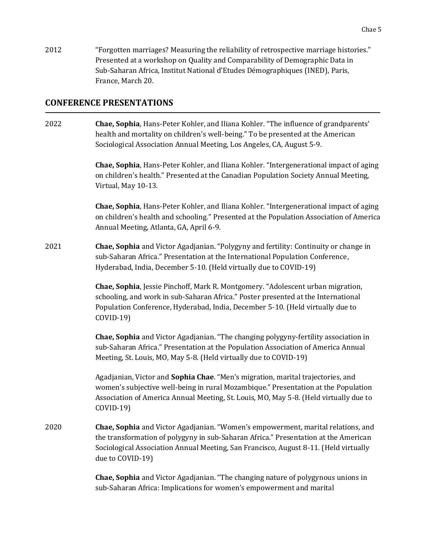2012 "Forgotten marriages? Measuring the reliability of retrospective marriage histories." Presented at a workshop on Quality and Comparability of Demographic Data in Sub-Saharan Africa, Institut National d'Etudes Démographiques (INED), Paris, France, March 20.

#### **CONFERENCE PRESENTATIONS**

2022 **Chae, Sophia**, Hans-Peter Kohler, and Iliana Kohler. "The influence of grandparents' health and mortality on children's well-being." To be presented at the American Sociological Association Annual Meeting, Los Angeles, CA, August 5-9.

> **Chae, Sophia**, Hans-Peter Kohler, and Iliana Kohler. "Intergenerational impact of aging on children's health." Presented at the Canadian Population Society Annual Meeting, Virtual, May 10-13.

> **Chae, Sophia**, Hans-Peter Kohler, and Iliana Kohler. "Intergenerational impact of aging on children's health and schooling." Presented at the Population Association of America Annual Meeting, Atlanta, GA, April 6-9.

2021 **Chae, Sophia** and Victor Agadjanian. "Polygyny and fertility: Continuity or change in sub-Saharan Africa." Presentation at the International Population Conference, Hyderabad, India, December 5-10. (Held virtually due to COVID-19)

> **Chae, Sophia**, Jessie Pinchoff, Mark R. Montgomery. "Adolescent urban migration, schooling, and work in sub-Saharan Africa." Poster presented at the International Population Conference, Hyderabad, India, December 5-10. (Held virtually due to COVID-19)

**Chae, Sophia** and Victor Agadjanian. "The changing polygyny-fertility association in sub-Saharan Africa." Presentation at the Population Association of America Annual Meeting, St. Louis, MO, May 5-8. (Held virtually due to COVID-19)

Agadjanian, Victor and **Sophia Chae**. "Men's migration, marital trajectories, and women's subjective well-being in rural Mozambique." Presentation at the Population Association of America Annual Meeting, St. Louis, MO, May 5-8. (Held virtually due to COVID-19)

2020 **Chae, Sophia** and Victor Agadjanian. "Women's empowerment, marital relations, and the transformation of polygyny in sub-Saharan Africa." Presentation at the American Sociological Association Annual Meeting, San Francisco, August 8-11. (Held virtually due to COVID-19)

> **Chae, Sophia** and Victor Agadjanian. "The changing nature of polygynous unions in sub-Saharan Africa: Implications for women's empowerment and marital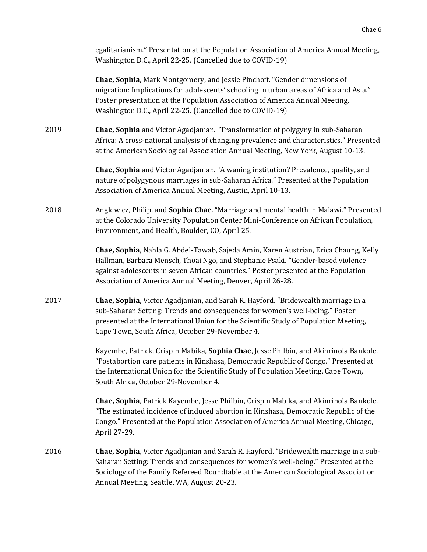egalitarianism." Presentation at the Population Association of America Annual Meeting, Washington D.C., April 22-25. (Cancelled due to COVID-19)

**Chae, Sophia**, Mark Montgomery, and Jessie Pinchoff. "Gender dimensions of migration: Implications for adolescents' schooling in urban areas of Africa and Asia." Poster presentation at the Population Association of America Annual Meeting, Washington D.C., April 22-25. (Cancelled due to COVID-19)

2019 **Chae, Sophia** and Victor Agadjanian. "Transformation of polygyny in sub-Saharan Africa: A cross-national analysis of changing prevalence and characteristics." Presented at the American Sociological Association Annual Meeting, New York, August 10-13.

> **Chae, Sophia** and Victor Agadjanian. "A waning institution? Prevalence, quality, and nature of polygynous marriages in sub-Saharan Africa." Presented at the Population Association of America Annual Meeting, Austin, April 10-13.

2018 Anglewicz, Philip, and **Sophia Chae**. "Marriage and mental health in Malawi." Presented at the Colorado University Population Center Mini-Conference on African Population, Environment, and Health, Boulder, CO, April 25.

> **Chae, Sophia**, Nahla G. Abdel-Tawab, Sajeda Amin, Karen Austrian, Erica Chaung, Kelly Hallman, Barbara Mensch, Thoai Ngo, and Stephanie Psaki. "Gender-based violence against adolescents in seven African countries." Poster presented at the Population Association of America Annual Meeting, Denver, April 26-28.

2017 **Chae, Sophia**, Victor Agadjanian, and Sarah R. Hayford. "Bridewealth marriage in a sub-Saharan Setting: Trends and consequences for women's well-being." Poster presented at the International Union for the Scientific Study of Population Meeting, Cape Town, South Africa, October 29-November 4.

> Kayembe, Patrick, Crispin Mabika, **Sophia Chae**, Jesse Philbin, and Akinrinola Bankole. "Postabortion care patients in Kinshasa, Democratic Republic of Congo." Presented at the International Union for the Scientific Study of Population Meeting, Cape Town, South Africa, October 29-November 4.

> **Chae, Sophia**, Patrick Kayembe, Jesse Philbin, Crispin Mabika, and Akinrinola Bankole. "The estimated incidence of induced abortion in Kinshasa, Democratic Republic of the Congo." Presented at the Population Association of America Annual Meeting, Chicago, April 27-29.

2016 **Chae, Sophia**, Victor Agadjanian and Sarah R. Hayford. "Bridewealth marriage in a sub-Saharan Setting: Trends and consequences for women's well-being." Presented at the Sociology of the Family Refereed Roundtable at the American Sociological Association Annual Meeting, Seattle, WA, August 20-23.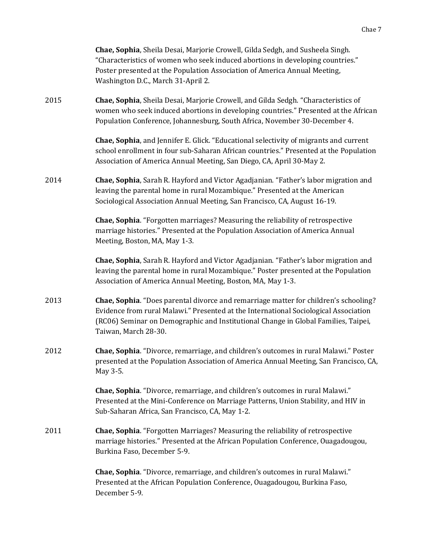|      | Chae, Sophia, Sheila Desai, Marjorie Crowell, Gilda Sedgh, and Susheela Singh.<br>"Characteristics of women who seek induced abortions in developing countries."<br>Poster presented at the Population Association of America Annual Meeting,<br>Washington D.C., March 31-April 2.        |
|------|--------------------------------------------------------------------------------------------------------------------------------------------------------------------------------------------------------------------------------------------------------------------------------------------|
| 2015 | Chae, Sophia, Sheila Desai, Marjorie Crowell, and Gilda Sedgh. "Characteristics of<br>women who seek induced abortions in developing countries." Presented at the African<br>Population Conference, Johannesburg, South Africa, November 30-December 4.                                    |
|      | Chae, Sophia, and Jennifer E. Glick. "Educational selectivity of migrants and current<br>school enrollment in four sub-Saharan African countries." Presented at the Population<br>Association of America Annual Meeting, San Diego, CA, April 30-May 2.                                    |
| 2014 | Chae, Sophia, Sarah R. Hayford and Victor Agadjanian. "Father's labor migration and<br>leaving the parental home in rural Mozambique." Presented at the American<br>Sociological Association Annual Meeting, San Francisco, CA, August 16-19.                                              |
|      | Chae, Sophia. "Forgotten marriages? Measuring the reliability of retrospective<br>marriage histories." Presented at the Population Association of America Annual<br>Meeting, Boston, MA, May 1-3.                                                                                          |
|      | Chae, Sophia, Sarah R. Hayford and Victor Agadjanian. "Father's labor migration and<br>leaving the parental home in rural Mozambique." Poster presented at the Population<br>Association of America Annual Meeting, Boston, MA, May 1-3.                                                   |
| 2013 | Chae, Sophia. "Does parental divorce and remarriage matter for children's schooling?<br>Evidence from rural Malawi." Presented at the International Sociological Association<br>(RC06) Seminar on Demographic and Institutional Change in Global Families, Taipei,<br>Taiwan, March 28-30. |
| 2012 | Chae, Sophia. "Divorce, remarriage, and children's outcomes in rural Malawi." Poster<br>presented at the Population Association of America Annual Meeting, San Francisco, CA,<br>May 3-5.                                                                                                  |
|      | Chae, Sophia. "Divorce, remarriage, and children's outcomes in rural Malawi."<br>Presented at the Mini-Conference on Marriage Patterns, Union Stability, and HIV in<br>Sub-Saharan Africa, San Francisco, CA, May 1-2.                                                                     |
| 2011 | <b>Chae, Sophia.</b> "Forgotten Marriages? Measuring the reliability of retrospective<br>marriage histories." Presented at the African Population Conference, Ouagadougou,<br>Burkina Faso, December 5-9.                                                                                  |
|      | Chae, Sophia. "Divorce, remarriage, and children's outcomes in rural Malawi."<br>Presented at the African Population Conference, Ouagadougou, Burkina Faso,<br>December 5-9.                                                                                                               |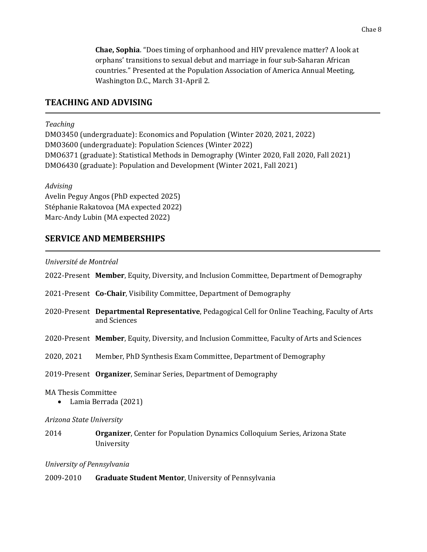**Chae, Sophia**. "Does timing of orphanhood and HIV prevalence matter? A look at orphans' transitions to sexual debut and marriage in four sub-Saharan African countries." Presented at the Population Association of America Annual Meeting, Washington D.C., March 31-April 2.

### **TEACHING AND ADVISING**

#### *Teaching*

DMO3450 (undergraduate): Economics and Population (Winter 2020, 2021, 2022) DMO3600 (undergraduate): Population Sciences (Winter 2022) DMO6371 (graduate): Statistical Methods in Demography (Winter 2020, Fall 2020, Fall 2021) DMO6430 (graduate): Population and Development (Winter 2021, Fall 2021)

*Advising*

Avelin Peguy Angos (PhD expected 2025) Stéphanie Rakatovoa (MA expected 2022) Marc-Andy Lubin (MA expected 2022)

#### **SERVICE AND MEMBERSHIPS**

*Université de Montréal*

2022-Present **Member**, Equity, Diversity, and Inclusion Committee, Department of Demography 2021-Present **Co-Chair**, Visibility Committee, Department of Demography 2020-Present **Departmental Representative**, Pedagogical Cell for Online Teaching, Faculty of Arts and Sciences 2020-Present **Member**, Equity, Diversity, and Inclusion Committee, Faculty of Arts and Sciences 2020, 2021 Member, PhD Synthesis Exam Committee, Department of Demography 2019-Present **Organizer**, Seminar Series, Department of Demography MA Thesis Committee • Lamia Berrada (2021) *Arizona State University* 2014 **Organizer**, Center for Population Dynamics Colloquium Series, Arizona State University *University of Pennsylvania*

2009-2010 **Graduate Student Mentor**, University of Pennsylvania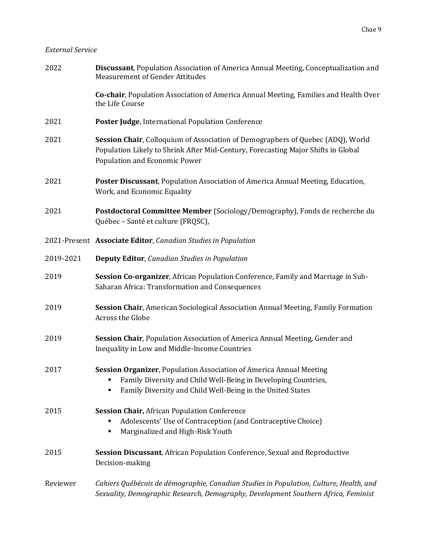#### *External Service*

| 2022      | <b>Discussant, Population Association of America Annual Meeting, Conceptualization and</b><br><b>Measurement of Gender Attitudes</b>                                                                     |
|-----------|----------------------------------------------------------------------------------------------------------------------------------------------------------------------------------------------------------|
|           | Co-chair, Population Association of America Annual Meeting, Families and Health Over<br>the Life Course                                                                                                  |
| 2021      | Poster Judge, International Population Conference                                                                                                                                                        |
| 2021      | Session Chair, Colloquium of Association of Demographers of Quebec (ADQ), World<br>Population Likely to Shrink After Mid-Century, Forecasting Major Shifts in Global<br>Population and Economic Power    |
| 2021      | Poster Discussant, Population Association of America Annual Meeting, Education,<br>Work, and Economic Equality                                                                                           |
| 2021      | Postdoctoral Committee Member (Sociology/Demography), Fonds de recherche du<br>Québec - Santé et culture (FRQSC),                                                                                        |
|           | 2021-Present Associate Editor, Canadian Studies in Population                                                                                                                                            |
| 2019-2021 | <b>Deputy Editor, Canadian Studies in Population</b>                                                                                                                                                     |
| 2019      | Session Co-organizer, African Population Conference, Family and Marriage in Sub-<br>Saharan Africa: Transformation and Consequences                                                                      |
| 2019      | Session Chair, American Sociological Association Annual Meeting, Family Formation<br>Across the Globe                                                                                                    |
| 2019      | Session Chair, Population Association of America Annual Meeting, Gender and<br>Inequality in Low and Middle-Income Countries                                                                             |
| 2017      | Session Organizer, Population Association of America Annual Meeting<br>Family Diversity and Child Well-Being in Developing Countries,<br>٠<br>Family Diversity and Child Well-Being in the United States |
| 2015      | <b>Session Chair, African Population Conference</b><br>Adolescents' Use of Contraception (and Contraceptive Choice)<br>٠<br>Marginalized and High-Risk Youth<br>٠                                        |
| 2015      | <b>Session Discussant, African Population Conference, Sexual and Reproductive</b><br>Decision-making                                                                                                     |
| Reviewer  | Cahiers Québécois de démographie, Canadian Studies in Population, Culture, Health, and<br>Sexuality, Demographic Research, Demography, Development Southern Africa, Feminist                             |